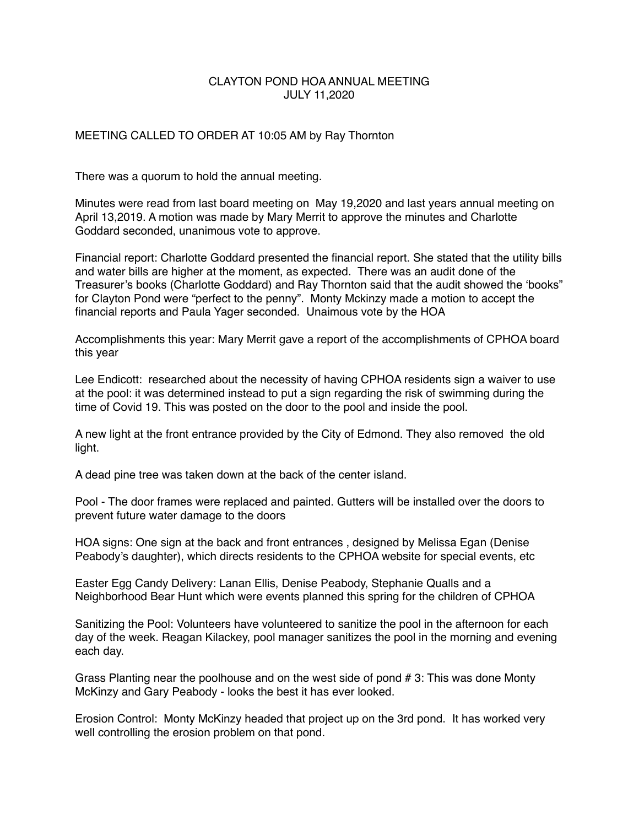## CLAYTON POND HOA ANNUAL MEETING JULY 11,2020

## MEETING CALLED TO ORDER AT 10:05 AM by Ray Thornton

There was a quorum to hold the annual meeting.

Minutes were read from last board meeting on May 19,2020 and last years annual meeting on April 13,2019. A motion was made by Mary Merrit to approve the minutes and Charlotte Goddard seconded, unanimous vote to approve.

Financial report: Charlotte Goddard presented the financial report. She stated that the utility bills and water bills are higher at the moment, as expected. There was an audit done of the Treasurer's books (Charlotte Goddard) and Ray Thornton said that the audit showed the 'books" for Clayton Pond were "perfect to the penny". Monty Mckinzy made a motion to accept the financial reports and Paula Yager seconded. Unaimous vote by the HOA

Accomplishments this year: Mary Merrit gave a report of the accomplishments of CPHOA board this year

Lee Endicott: researched about the necessity of having CPHOA residents sign a waiver to use at the pool: it was determined instead to put a sign regarding the risk of swimming during the time of Covid 19. This was posted on the door to the pool and inside the pool.

A new light at the front entrance provided by the City of Edmond. They also removed the old light.

A dead pine tree was taken down at the back of the center island.

Pool - The door frames were replaced and painted. Gutters will be installed over the doors to prevent future water damage to the doors

HOA signs: One sign at the back and front entrances , designed by Melissa Egan (Denise Peabody's daughter), which directs residents to the CPHOA website for special events, etc

Easter Egg Candy Delivery: Lanan Ellis, Denise Peabody, Stephanie Qualls and a Neighborhood Bear Hunt which were events planned this spring for the children of CPHOA

Sanitizing the Pool: Volunteers have volunteered to sanitize the pool in the afternoon for each day of the week. Reagan Kilackey, pool manager sanitizes the pool in the morning and evening each day.

Grass Planting near the poolhouse and on the west side of pond # 3: This was done Monty McKinzy and Gary Peabody - looks the best it has ever looked.

Erosion Control: Monty McKinzy headed that project up on the 3rd pond. It has worked very well controlling the erosion problem on that pond.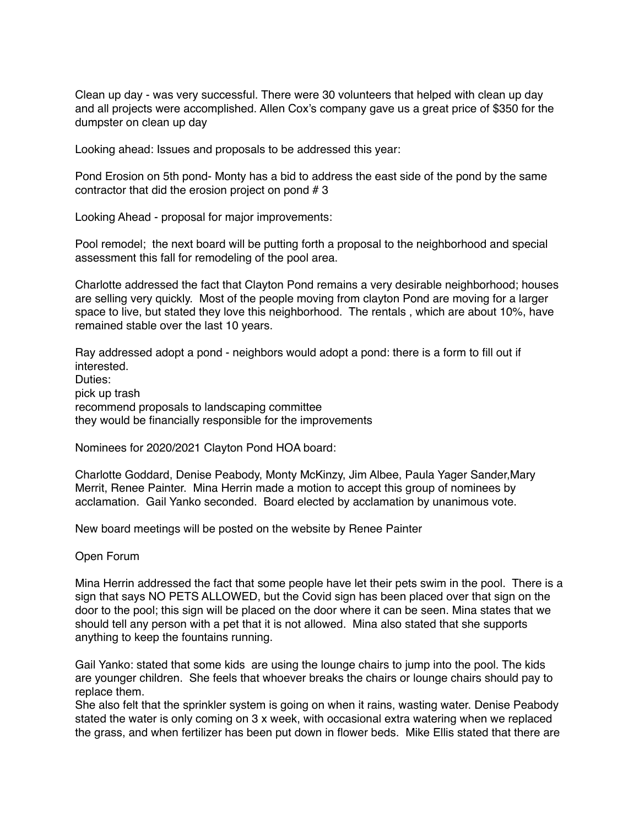Clean up day - was very successful. There were 30 volunteers that helped with clean up day and all projects were accomplished. Allen Cox's company gave us a great price of \$350 for the dumpster on clean up day

Looking ahead: Issues and proposals to be addressed this year:

Pond Erosion on 5th pond- Monty has a bid to address the east side of the pond by the same contractor that did the erosion project on pond # 3

Looking Ahead - proposal for major improvements:

Pool remodel; the next board will be putting forth a proposal to the neighborhood and special assessment this fall for remodeling of the pool area.

Charlotte addressed the fact that Clayton Pond remains a very desirable neighborhood; houses are selling very quickly. Most of the people moving from clayton Pond are moving for a larger space to live, but stated they love this neighborhood. The rentals , which are about 10%, have remained stable over the last 10 years.

Ray addressed adopt a pond - neighbors would adopt a pond: there is a form to fill out if interested. Duties: pick up trash

recommend proposals to landscaping committee they would be financially responsible for the improvements

Nominees for 2020/2021 Clayton Pond HOA board:

Charlotte Goddard, Denise Peabody, Monty McKinzy, Jim Albee, Paula Yager Sander,Mary Merrit, Renee Painter. Mina Herrin made a motion to accept this group of nominees by acclamation. Gail Yanko seconded. Board elected by acclamation by unanimous vote.

New board meetings will be posted on the website by Renee Painter

Open Forum

Mina Herrin addressed the fact that some people have let their pets swim in the pool. There is a sign that says NO PETS ALLOWED, but the Covid sign has been placed over that sign on the door to the pool; this sign will be placed on the door where it can be seen. Mina states that we should tell any person with a pet that it is not allowed. Mina also stated that she supports anything to keep the fountains running.

Gail Yanko: stated that some kids are using the lounge chairs to jump into the pool. The kids are younger children. She feels that whoever breaks the chairs or lounge chairs should pay to replace them.

She also felt that the sprinkler system is going on when it rains, wasting water. Denise Peabody stated the water is only coming on 3 x week, with occasional extra watering when we replaced the grass, and when fertilizer has been put down in flower beds. Mike Ellis stated that there are